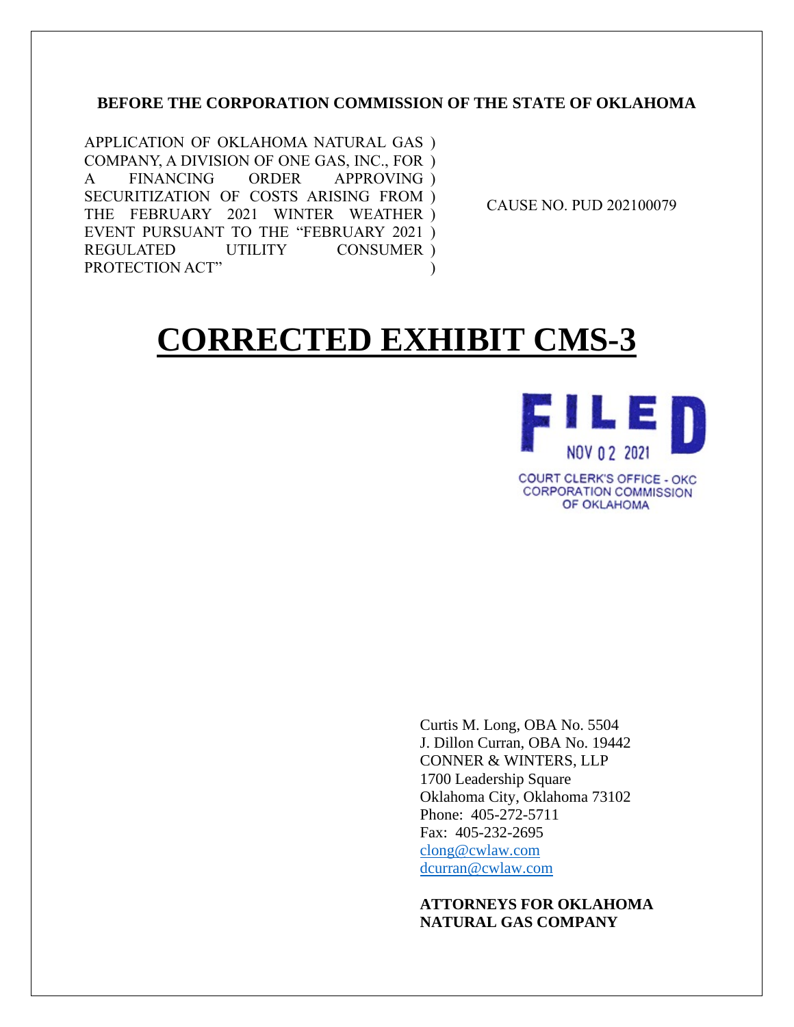## **BEFORE THE CORPORATION COMMISSION OF THE STATE OF OKLAHOMA**

APPLICATION OF OKLAHOMA NATURAL GAS ) COMPANY, A DIVISION OF ONE GAS, INC., FOR ) A FINANCING ORDER APPROVING ) SECURITIZATION OF COSTS ARISING FROM ) THE FEBRUARY 2021 WINTER WEATHER ) EVENT PURSUANT TO THE "FEBRUARY 2021 ) REGULATED UTILITY PROTECTION ACT" CONSUMER ) )

CAUSE NO. PUD 202100079

# **CORRECTED EXHIBIT CMS-3**



**COURT CLERK'S OFFICE - OKC CORPORATION COMMISSION** OF OKLAHOMA

Curtis M. Long, OBA No. 5504 J. Dillon Curran, OBA No. 19442 CONNER & WINTERS, LLP 1700 Leadership Square Oklahoma City, Oklahoma 73102 Phone: 405-272-5711 Fax: 405-232-2695 [clong@cwlaw.com](mailto:clong@cwlaw.com) [dcurran@cwlaw.com](mailto:dcurran@cwlaw.com)

### **ATTORNEYS FOR OKLAHOMA NATURAL GAS COMPANY**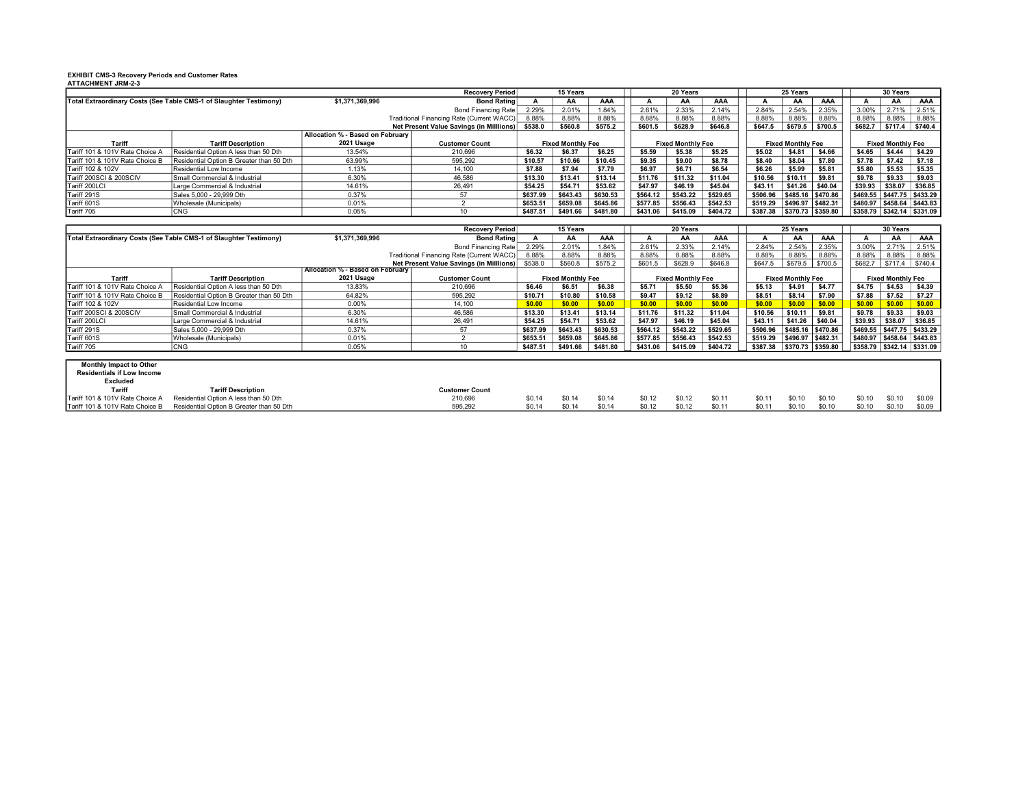### EXHIBIT CMS-3 Recovery Periods and Customer Rates ATTACHMENT JRM-2-3

|                                                                    |                                          |                                  | <b>Recovery Period</b>                    | <b>15 Years</b>          |          |          | 20 Years                 |          |          | 25 Years                 |                   |         | 30 Years                      |         |                                            |  |
|--------------------------------------------------------------------|------------------------------------------|----------------------------------|-------------------------------------------|--------------------------|----------|----------|--------------------------|----------|----------|--------------------------|-------------------|---------|-------------------------------|---------|--------------------------------------------|--|
| Total Extraordinary Costs (See Table CMS-1 of Slaughter Testimony) |                                          | \$1.371.369.996                  | <b>Bond Rating</b>                        |                          | АΑ       | AAA      |                          | AA       | AAA      |                          | AA                | AAA     |                               | AA      | AAA                                        |  |
|                                                                    |                                          |                                  | Bond Financing Rate                       | 2.29%                    | 2.01%    | 1.84%    | 2.61%                    | 2.33%    | 2.14%    | 2.84%                    | 2.54%             | 2.35%   | 3.00%                         | 2.71%   | 2.51%                                      |  |
|                                                                    |                                          |                                  | Traditional Financing Rate (Current WACC) | 8.88%                    | 8.88%    | 8.88%    | 8.88%                    | 8.88%    | 8.88%    | 8.88%                    | 8.88%             | 8.88%   | 8.88%                         | 8.88%   | 8.88%                                      |  |
|                                                                    |                                          |                                  | Net Present Value Savings (in Milllions)  | \$538.0                  | \$560.8  | \$575.2  | \$601.5                  | \$628.9  | \$646.8  | \$647.5                  | \$679.5           | \$700.5 | \$682.7                       | \$717.4 | \$740.4                                    |  |
|                                                                    |                                          | Allocation % - Based on February |                                           |                          |          |          |                          |          |          |                          |                   |         |                               |         |                                            |  |
| Tariff                                                             | <b>Tariff Description</b>                | 2021 Usage                       | <b>Customer Count</b>                     | <b>Fixed Monthly Fee</b> |          |          | <b>Fixed Monthly Fee</b> |          |          | <b>Fixed Monthly Fee</b> |                   |         | <b>Fixed Monthly Fee</b>      |         |                                            |  |
| Tariff 101 & 101V Rate Choice A                                    | Residential Option A less than 50 Dth    | 13.54%                           | 210,696                                   | \$6.32                   | \$6.37   | \$6.25   | \$5.59                   | \$5.38   | \$5.25   | \$5.02                   | \$4.81            | \$4.66  | \$4.65                        | \$4.44  | \$4.29                                     |  |
| Tariff 101 & 101V Rate Choice B                                    | Residential Option B Greater than 50 Dth | 63.99%                           | 595.292                                   | \$10.57                  | \$10.66  | \$10.45  | \$9.35                   | \$9.00   | \$8.78   | \$8.40                   | \$8.04            | \$7.80  | \$7.78                        | \$7.42  | \$7.18                                     |  |
| Tariff 102 & 102V                                                  | Residential Low Income                   | 1.13%                            | 14.100                                    | \$7.88                   | \$7.94   | \$7.79   | \$6.97                   | \$6.71   | \$6.54   | \$6.26                   | \$5.99            | \$5.81  | \$5.80                        | \$5.53  | \$5.35                                     |  |
| Tariff 200SCI & 200SCIV                                            | Small Commercial & Industrial            | 6.30%                            | 46.586                                    | \$13.30                  | \$13.41  | \$13.14  | \$11.76                  | \$11.32  | \$11.04  | \$10.56                  | \$10.11           | \$9.81  | \$9.78                        | \$9.33  | \$9.03                                     |  |
| Tariff 200LCI                                                      | Large Commercial & Industrial            | 14.61%                           | 26.491                                    | \$54.25                  | \$54.71  | \$53.62  | \$47.97                  | \$46.19  | \$45.04  | \$43.11                  | \$41.26           | \$40.04 | \$39.93                       | \$38.07 | \$36.85                                    |  |
| Tariff 291S                                                        | Sales 5,000 - 29,999 Dth                 | 0.37%                            |                                           | \$637.99                 | \$643.43 | \$630.53 | \$564.12                 | \$543.22 | \$529.65 | \$506.96                 | \$485.16 \$470.86 |         | \$469.55                      |         | $ $447.75$ $ $433.29$                      |  |
| Tariff 601S                                                        | Wholesale (Municipals)                   | 0.01%                            |                                           | \$653.51                 | \$659.08 | \$645.86 | \$577.85                 | \$556.43 | \$542.53 | \$519.29                 | \$496.97 \$482.31 |         | S480.97   \$458.64   \$443.83 |         |                                            |  |
| Tariff 705                                                         | CNG                                      | 0.05%                            | 10                                        | \$487.51                 | \$491.66 | \$481.80 | \$431.06                 | \$415.09 | \$404.72 | \$387.38                 | \$370.73 \$359.80 |         |                               |         | $ $ \$358.79 $ $ \$342.14 $ $ \$331.09 $ $ |  |

|                                                                    |                                          |                                         | <b>Recovery Period</b>                    | 15 Years                 |          |          | 20 Years                 |          |          | 25 Years                 |                       |         | 30 Years                 |                               |                               |
|--------------------------------------------------------------------|------------------------------------------|-----------------------------------------|-------------------------------------------|--------------------------|----------|----------|--------------------------|----------|----------|--------------------------|-----------------------|---------|--------------------------|-------------------------------|-------------------------------|
| Total Extraordinary Costs (See Table CMS-1 of Slaughter Testimony) |                                          | \$1,371,369,996                         | <b>Bond Rating</b>                        |                          | AA       | AAA      |                          | ΑА       | AAA      |                          | AA                    | AAA     |                          | AA                            | AAA                           |
|                                                                    |                                          |                                         | Bond Financing Rate                       | 2.29%                    | 2.01%    | 1.84%    | 2.61%                    | 2.33%    | 2.14%    | 2.84%                    | 2.54%                 | 2.35%   | 3.00%                    | 2.71%                         | 2.51%                         |
|                                                                    |                                          |                                         | Traditional Financing Rate (Current WACC) | 8.88%                    | 8.88%    | 8.88%    | 8.88%                    | 8.88%    | 8.88%    | 8.88%                    | 8.88%                 | 8.88%   | 8.88%                    | 8.88%                         | 8.88%                         |
|                                                                    |                                          |                                         | Net Present Value Savings (in Milllions)  | \$538.0                  | \$560.8  | \$575.2  | \$601.5                  | \$628.9  | \$646.8  | \$647.5                  | \$679.5               | \$700.5 | \$682.7                  | \$717.4                       | \$740.4                       |
|                                                                    |                                          | <b>Allocation % - Based on February</b> |                                           |                          |          |          |                          |          |          |                          |                       |         |                          |                               |                               |
| Tariff                                                             | <b>Tariff Description</b>                | 2021 Usage                              | <b>Customer Count</b>                     | <b>Fixed Monthly Fee</b> |          |          | <b>Fixed Monthly Fee</b> |          |          | <b>Fixed Monthly Fee</b> |                       |         | <b>Fixed Monthly Fee</b> |                               |                               |
| Tariff 101 & 101V Rate Choice A                                    | Residential Option A less than 50 Dth    | 13.83%                                  | 210.696                                   | \$6.46                   | \$6.51   | \$6.38   | \$5.71                   | \$5.50   | \$5.36   | \$5.13                   | \$4.91                | \$4.77  | \$4.75                   | \$4.53                        | \$4.39                        |
| Tariff 101 & 101V Rate Choice B                                    | Residential Option B Greater than 50 Dth | 64.82%                                  | 595.292                                   | \$10.71                  | \$10.80  | \$10.58  | \$9.47                   | \$9.12   | \$8.89   | \$8.51                   | \$8.14                | \$7.90  | \$7.88                   | \$7.52                        | \$7.27                        |
| Tariff 102 & 102V                                                  | Residential Low Income                   | 0.00%                                   | 14,100                                    | \$0.00                   | \$0.00   | \$0.00   | \$0.00                   | \$0.00   | \$0.00   | \$0.00                   | \$0.00                | \$0.00  | \$0.00                   | \$0.00                        | \$0.00                        |
| Tariff 200SCI & 200SCIV                                            | Small Commercial & Industrial            | 6.30%                                   | 46,586                                    | \$13.30                  | \$13.41  | \$13.14  | \$11.76                  | \$11.32  | \$11.04  | \$10.56                  | \$10.11               | \$9.81  | \$9.78                   | \$9.33                        | \$9.03                        |
| Tariff 200LCI                                                      | Large Commercial & Industrial            | 14.61%                                  | 26.491                                    | \$54.25                  | \$54.71  | \$53.62  | \$47.97                  | \$46.19  | \$45.04  | \$43.11                  | \$41.26               | \$40.04 | \$39.93                  | \$38.07                       | \$36.85                       |
| Tariff 291S                                                        | Sales 5,000 - 29,999 Dth                 | 0.37%                                   | 57                                        | \$637.99                 | \$643.43 | \$630.53 | \$564.12                 | \$543.22 | \$529.65 | \$506.96                 | \$485.16 \$470.86     |         | \$469.55                 | S447.75 S433.29               |                               |
| Tariff 601S                                                        | Wholesale (Municipals)                   | 0.01%                                   |                                           | \$653.51                 | \$659.08 | \$645.86 | \$577.85                 | \$556.43 | \$542.53 | \$519.29                 | \$496.97 \$482.31     |         |                          | $$480.97$ $$458.64$ $$443.83$ |                               |
| Tariff 705                                                         | CNG                                      | 0.05%                                   | 10                                        | \$487.51                 | \$491.66 | \$481.80 | \$431.06                 | \$415.09 | \$404.72 | \$387.38                 | $ $370.73$ $ $359.80$ |         |                          |                               | $$358.79$ $$342.14$ $$331.09$ |
|                                                                    |                                          |                                         |                                           |                          |          |          |                          |          |          |                          |                       |         |                          |                               |                               |
| Monthly Impact to Other                                            |                                          |                                         |                                           |                          |          |          |                          |          |          |                          |                       |         |                          |                               |                               |
| <b>Residentials if Low Income</b>                                  |                                          |                                         |                                           |                          |          |          |                          |          |          |                          |                       |         |                          |                               |                               |
| Excluded                                                           |                                          |                                         |                                           |                          |          |          |                          |          |          |                          |                       |         |                          |                               |                               |
| Tariff                                                             | <b>Tariff Description</b>                |                                         | <b>Customer Count</b>                     |                          |          |          |                          |          |          |                          |                       |         |                          |                               |                               |
| Tariff 101 & 101V Rate Choice A                                    | Residential Option A less than 50 Dth    |                                         | 210,696                                   | \$0.14                   | \$0.14   | \$0.14   | \$0.12                   | \$0.12   | \$0.11   | \$0.11                   | \$0.10                | \$0.10  | \$0.10                   | \$0.10                        | \$0.09                        |
| Tariff 101 & 101V Rate Choice B                                    | Residential Option B Greater than 50 Dth |                                         | 595.292                                   | \$0.14                   | \$0.14   | \$0.14   | \$0.12                   | \$0.12   | \$0.11   | \$0.1                    | \$0.10                | \$0.10  | \$0.10                   | \$0.10                        | \$0.09                        |